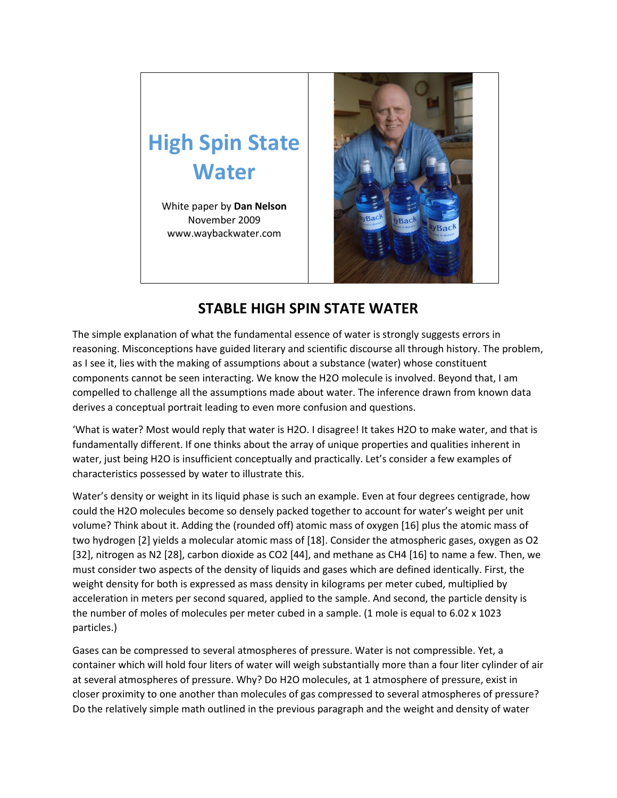## **High Spin State Water**

White paper by **Dan Nelson** November 2009 www.waybackwater.com



## **STABLE HIGH SPIN STATE WATER**

The simple explanation of what the fundamental essence of water is strongly suggests errors in reasoning. Misconceptions have guided literary and scientific discourse all through history. The problem, as I see it, lies with the making of assumptions about a substance (water) whose constituent components cannot be seen interacting. We know the H2O molecule is involved. Beyond that, I am compelled to challenge all the assumptions made about water. The inference drawn from known data derives a conceptual portrait leading to even more confusion and questions.

'What is water? Most would reply that water is H2O. I disagree! It takes H2O to make water, and that is fundamentally different. If one thinks about the array of unique properties and qualities inherent in water, just being H2O is insufficient conceptually and practically. Let's consider a few examples of characteristics possessed by water to illustrate this.

Water's density or weight in its liquid phase is such an example. Even at four degrees centigrade, how could the H2O molecules become so densely packed together to account for water's weight per unit volume? Think about it. Adding the (rounded off) atomic mass of oxygen [16] plus the atomic mass of two hydrogen [2] yields a molecular atomic mass of [18]. Consider the atmospheric gases, oxygen as O2 [32], nitrogen as N2 [28], carbon dioxide as CO2 [44], and methane as CH4 [16] to name a few. Then, we must consider two aspects of the density of liquids and gases which are defined identically. First, the weight density for both is expressed as mass density in kilograms per meter cubed, multiplied by acceleration in meters per second squared, applied to the sample. And second, the particle density is the number of moles of molecules per meter cubed in a sample. (1 mole is equal to 6.02 x 1023 particles.)

Gases can be compressed to several atmospheres of pressure. Water is not compressible. Yet, a container which will hold four liters of water will weigh substantially more than a four liter cylinder of air at several atmospheres of pressure. Why? Do H2O molecules, at 1 atmosphere of pressure, exist in closer proximity to one another than molecules of gas compressed to several atmospheres of pressure? Do the relatively simple math outlined in the previous paragraph and the weight and density of water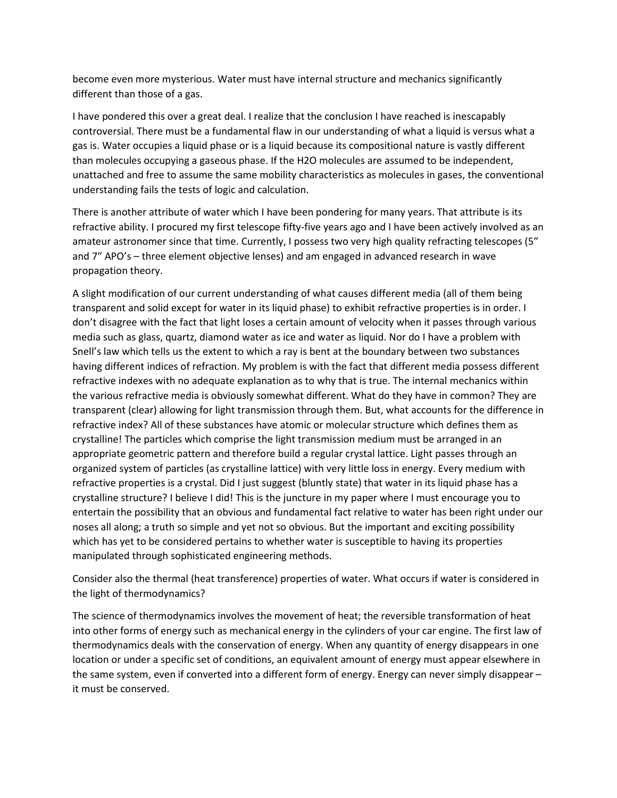become even more mysterious. Water must have internal structure and mechanics significantly different than those of a gas.

I have pondered this over a great deal. I realize that the conclusion I have reached is inescapably controversial. There must be a fundamental flaw in our understanding of what a liquid is versus what a gas is. Water occupies a liquid phase or is a liquid because its compositional nature is vastly different than molecules occupying a gaseous phase. If the H2O molecules are assumed to be independent, unattached and free to assume the same mobility characteristics as molecules in gases, the conventional understanding fails the tests of logic and calculation.

There is another attribute of water which I have been pondering for many years. That attribute is its refractive ability. I procured my first telescope fifty-five years ago and I have been actively involved as an amateur astronomer since that time. Currently, I possess two very high quality refracting telescopes (5″ and 7″ APO's – three element objective lenses) and am engaged in advanced research in wave propagation theory.

A slight modification of our current understanding of what causes different media (all of them being transparent and solid except for water in its liquid phase) to exhibit refractive properties is in order. I don't disagree with the fact that light loses a certain amount of velocity when it passes through various media such as glass, quartz, diamond water as ice and water as liquid. Nor do I have a problem with Snell's law which tells us the extent to which a ray is bent at the boundary between two substances having different indices of refraction. My problem is with the fact that different media possess different refractive indexes with no adequate explanation as to why that is true. The internal mechanics within the various refractive media is obviously somewhat different. What do they have in common? They are transparent (clear) allowing for light transmission through them. But, what accounts for the difference in refractive index? All of these substances have atomic or molecular structure which defines them as crystalline! The particles which comprise the light transmission medium must be arranged in an appropriate geometric pattern and therefore build a regular crystal lattice. Light passes through an organized system of particles (as crystalline lattice) with very little loss in energy. Every medium with refractive properties is a crystal. Did I just suggest (bluntly state) that water in its liquid phase has a crystalline structure? I believe I did! This is the juncture in my paper where I must encourage you to entertain the possibility that an obvious and fundamental fact relative to water has been right under our noses all along; a truth so simple and yet not so obvious. But the important and exciting possibility which has yet to be considered pertains to whether water is susceptible to having its properties manipulated through sophisticated engineering methods.

Consider also the thermal (heat transference) properties of water. What occurs if water is considered in the light of thermodynamics?

The science of thermodynamics involves the movement of heat; the reversible transformation of heat into other forms of energy such as mechanical energy in the cylinders of your car engine. The first law of thermodynamics deals with the conservation of energy. When any quantity of energy disappears in one location or under a specific set of conditions, an equivalent amount of energy must appear elsewhere in the same system, even if converted into a different form of energy. Energy can never simply disappear – it must be conserved.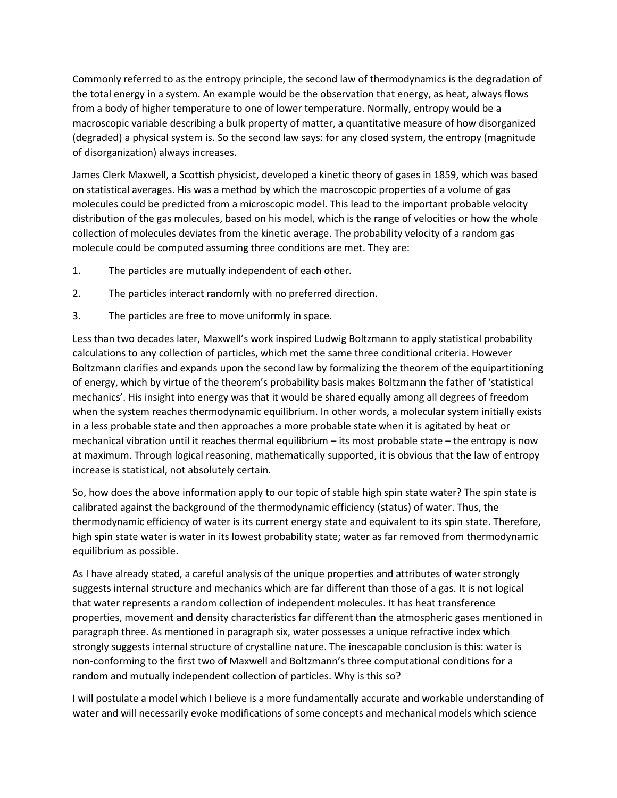Commonly referred to as the entropy principle, the second law of thermodynamics is the degradation of the total energy in a system. An example would be the observation that energy, as heat, always flows from a body of higher temperature to one of lower temperature. Normally, entropy would be a macroscopic variable describing a bulk property of matter, a quantitative measure of how disorganized (degraded) a physical system is. So the second law says: for any closed system, the entropy (magnitude of disorganization) always increases.

James Clerk Maxwell, a Scottish physicist, developed a kinetic theory of gases in 1859, which was based on statistical averages. His was a method by which the macroscopic properties of a volume of gas molecules could be predicted from a microscopic model. This lead to the important probable velocity distribution of the gas molecules, based on his model, which is the range of velocities or how the whole collection of molecules deviates from the kinetic average. The probability velocity of a random gas molecule could be computed assuming three conditions are met. They are:

- 1. The particles are mutually independent of each other.
- 2. The particles interact randomly with no preferred direction.
- 3. The particles are free to move uniformly in space.

Less than two decades later, Maxwell's work inspired Ludwig Boltzmann to apply statistical probability calculations to any collection of particles, which met the same three conditional criteria. However Boltzmann clarifies and expands upon the second law by formalizing the theorem of the equipartitioning of energy, which by virtue of the theorem's probability basis makes Boltzmann the father of 'statistical mechanics'. His insight into energy was that it would be shared equally among all degrees of freedom when the system reaches thermodynamic equilibrium. In other words, a molecular system initially exists in a less probable state and then approaches a more probable state when it is agitated by heat or mechanical vibration until it reaches thermal equilibrium – its most probable state – the entropy is now at maximum. Through logical reasoning, mathematically supported, it is obvious that the law of entropy increase is statistical, not absolutely certain.

So, how does the above information apply to our topic of stable high spin state water? The spin state is calibrated against the background of the thermodynamic efficiency (status) of water. Thus, the thermodynamic efficiency of water is its current energy state and equivalent to its spin state. Therefore, high spin state water is water in its lowest probability state; water as far removed from thermodynamic equilibrium as possible.

As I have already stated, a careful analysis of the unique properties and attributes of water strongly suggests internal structure and mechanics which are far different than those of a gas. It is not logical that water represents a random collection of independent molecules. It has heat transference properties, movement and density characteristics far different than the atmospheric gases mentioned in paragraph three. As mentioned in paragraph six, water possesses a unique refractive index which strongly suggests internal structure of crystalline nature. The inescapable conclusion is this: water is non-conforming to the first two of Maxwell and Boltzmann's three computational conditions for a random and mutually independent collection of particles. Why is this so?

I will postulate a model which I believe is a more fundamentally accurate and workable understanding of water and will necessarily evoke modifications of some concepts and mechanical models which science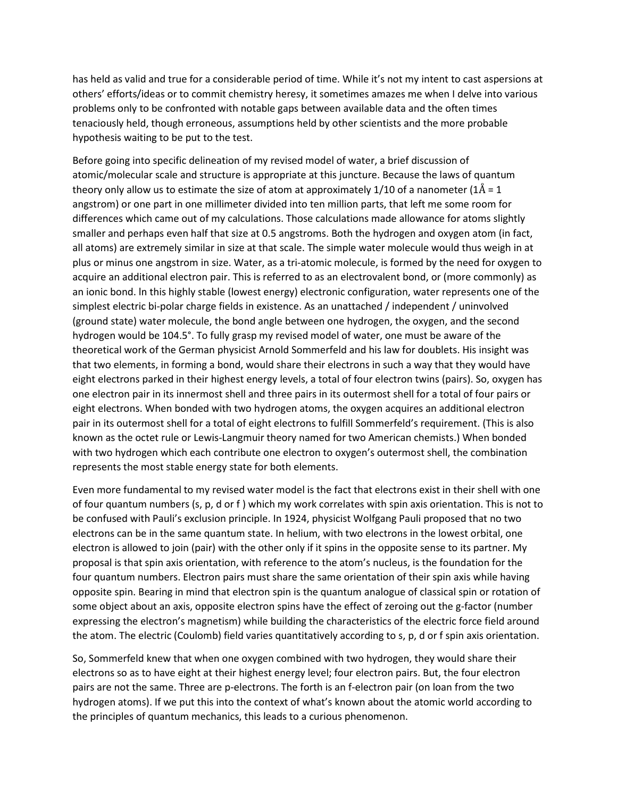has held as valid and true for a considerable period of time. While it's not my intent to cast aspersions at others' efforts/ideas or to commit chemistry heresy, it sometimes amazes me when I delve into various problems only to be confronted with notable gaps between available data and the often times tenaciously held, though erroneous, assumptions held by other scientists and the more probable hypothesis waiting to be put to the test.

Before going into specific delineation of my revised model of water, a brief discussion of atomic/molecular scale and structure is appropriate at this juncture. Because the laws of quantum theory only allow us to estimate the size of atom at approximately 1/10 of a nanometer ( $1\text{\AA} = 1$ ) angstrom) or one part in one millimeter divided into ten million parts, that left me some room for differences which came out of my calculations. Those calculations made allowance for atoms slightly smaller and perhaps even half that size at 0.5 angstroms. Both the hydrogen and oxygen atom (in fact, all atoms) are extremely similar in size at that scale. The simple water molecule would thus weigh in at plus or minus one angstrom in size. Water, as a tri-atomic molecule, is formed by the need for oxygen to acquire an additional electron pair. This is referred to as an electrovalent bond, or (more commonly) as an ionic bond. ln this highly stable (lowest energy) electronic configuration, water represents one of the simplest electric bi-polar charge fields in existence. As an unattached / independent / uninvolved (ground state) water molecule, the bond angle between one hydrogen, the oxygen, and the second hydrogen would be 104.5°. To fully grasp my revised model of water, one must be aware of the theoretical work of the German physicist Arnold Sommerfeld and his law for doublets. His insight was that two elements, in forming a bond, would share their electrons in such a way that they would have eight electrons parked in their highest energy levels, a total of four electron twins (pairs). So, oxygen has one electron pair in its innermost shell and three pairs in its outermost shell for a total of four pairs or eight electrons. When bonded with two hydrogen atoms, the oxygen acquires an additional electron pair in its outermost shell for a total of eight electrons to fulfill Sommerfeld's requirement. (This is also known as the octet rule or Lewis-Langmuir theory named for two American chemists.) When bonded with two hydrogen which each contribute one electron to oxygen's outermost shell, the combination represents the most stable energy state for both elements.

Even more fundamental to my revised water model is the fact that electrons exist in their shell with one of four quantum numbers (s, p, d or f ) which my work correlates with spin axis orientation. This is not to be confused with Pauli's exclusion principle. In 1924, physicist Wolfgang Pauli proposed that no two electrons can be in the same quantum state. In helium, with two electrons in the lowest orbital, one electron is allowed to join (pair) with the other only if it spins in the opposite sense to its partner. My proposal is that spin axis orientation, with reference to the atom's nucleus, is the foundation for the four quantum numbers. Electron pairs must share the same orientation of their spin axis while having opposite spin. Bearing in mind that electron spin is the quantum analogue of classical spin or rotation of some object about an axis, opposite electron spins have the effect of zeroing out the g-factor (number expressing the electron's magnetism) while building the characteristics of the electric force field around the atom. The electric (Coulomb) field varies quantitatively according to s, p, d or f spin axis orientation.

So, Sommerfeld knew that when one oxygen combined with two hydrogen, they would share their electrons so as to have eight at their highest energy level; four electron pairs. But, the four electron pairs are not the same. Three are p-electrons. The forth is an f-electron pair (on loan from the two hydrogen atoms). If we put this into the context of what's known about the atomic world according to the principles of quantum mechanics, this leads to a curious phenomenon.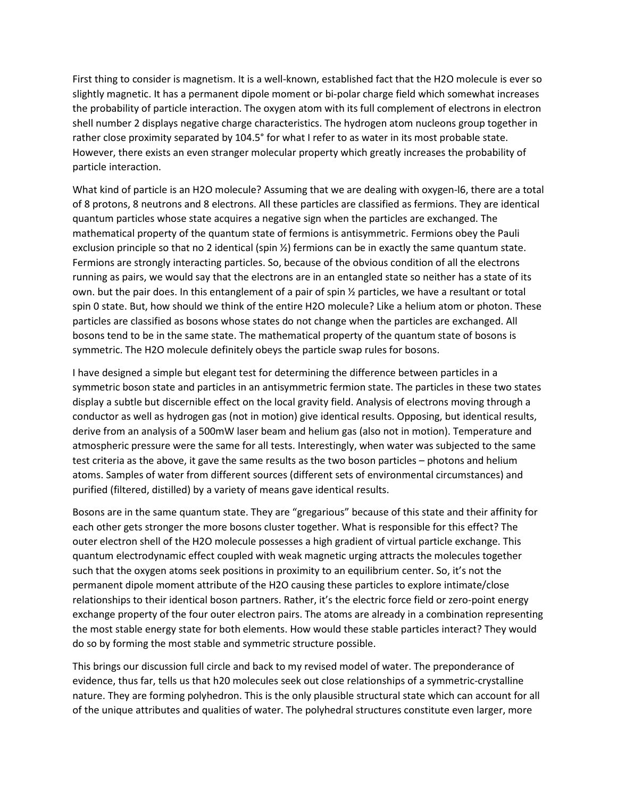First thing to consider is magnetism. It is a well-known, established fact that the H2O molecule is ever so slightly magnetic. It has a permanent dipole moment or bi-polar charge field which somewhat increases the probability of particle interaction. The oxygen atom with its full complement of electrons in electron shell number 2 displays negative charge characteristics. The hydrogen atom nucleons group together in rather close proximity separated by 104.5° for what I refer to as water in its most probable state. However, there exists an even stranger molecular property which greatly increases the probability of particle interaction.

What kind of particle is an H2O molecule? Assuming that we are dealing with oxygen-l6, there are a total of 8 protons, 8 neutrons and 8 electrons. All these particles are classified as fermions. They are identical quantum particles whose state acquires a negative sign when the particles are exchanged. The mathematical property of the quantum state of fermions is antisymmetric. Fermions obey the Pauli exclusion principle so that no 2 identical (spin ½) fermions can be in exactly the same quantum state. Fermions are strongly interacting particles. So, because of the obvious condition of all the electrons running as pairs, we would say that the electrons are in an entangled state so neither has a state of its own. but the pair does. In this entanglement of a pair of spin ½ particles, we have a resultant or total spin 0 state. But, how should we think of the entire H2O molecule? Like a helium atom or photon. These particles are classified as bosons whose states do not change when the particles are exchanged. All bosons tend to be in the same state. The mathematical property of the quantum state of bosons is symmetric. The H2O molecule definitely obeys the particle swap rules for bosons.

I have designed a simple but elegant test for determining the difference between particles in a symmetric boson state and particles in an antisymmetric fermion state. The particles in these two states display a subtle but discernible effect on the local gravity field. Analysis of electrons moving through a conductor as well as hydrogen gas (not in motion) give identical results. Opposing, but identical results, derive from an analysis of a 500mW laser beam and helium gas (also not in motion). Temperature and atmospheric pressure were the same for all tests. Interestingly, when water was subjected to the same test criteria as the above, it gave the same results as the two boson particles – photons and helium atoms. Samples of water from different sources (different sets of environmental circumstances) and purified (filtered, distilled) by a variety of means gave identical results.

Bosons are in the same quantum state. They are "gregarious" because of this state and their affinity for each other gets stronger the more bosons cluster together. What is responsible for this effect? The outer electron shell of the H2O molecule possesses a high gradient of virtual particle exchange. This quantum electrodynamic effect coupled with weak magnetic urging attracts the molecules together such that the oxygen atoms seek positions in proximity to an equilibrium center. So, it's not the permanent dipole moment attribute of the H2O causing these particles to explore intimate/close relationships to their identical boson partners. Rather, it's the electric force field or zero-point energy exchange property of the four outer electron pairs. The atoms are already in a combination representing the most stable energy state for both elements. How would these stable particles interact? They would do so by forming the most stable and symmetric structure possible.

This brings our discussion full circle and back to my revised model of water. The preponderance of evidence, thus far, tells us that h20 molecules seek out close relationships of a symmetric-crystalline nature. They are forming polyhedron. This is the only plausible structural state which can account for all of the unique attributes and qualities of water. The polyhedral structures constitute even larger, more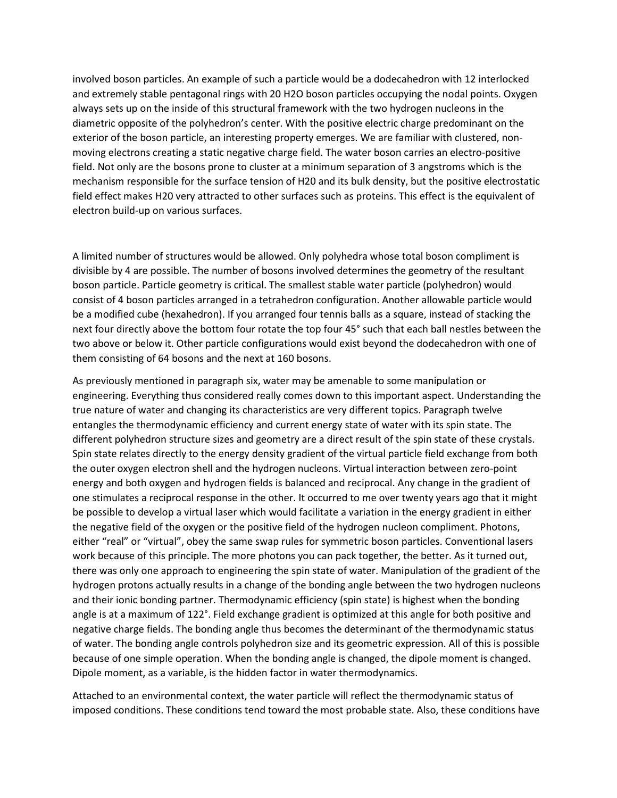involved boson particles. An example of such a particle would be a dodecahedron with 12 interlocked and extremely stable pentagonal rings with 20 H2O boson particles occupying the nodal points. Oxygen always sets up on the inside of this structural framework with the two hydrogen nucleons in the diametric opposite of the polyhedron's center. With the positive electric charge predominant on the exterior of the boson particle, an interesting property emerges. We are familiar with clustered, nonmoving electrons creating a static negative charge field. The water boson carries an electro-positive field. Not only are the bosons prone to cluster at a minimum separation of 3 angstroms which is the mechanism responsible for the surface tension of H20 and its bulk density, but the positive electrostatic field effect makes H20 very attracted to other surfaces such as proteins. This effect is the equivalent of electron build-up on various surfaces.

A limited number of structures would be allowed. Only polyhedra whose total boson compliment is divisible by 4 are possible. The number of bosons involved determines the geometry of the resultant boson particle. Particle geometry is critical. The smallest stable water particle (polyhedron) would consist of 4 boson particles arranged in a tetrahedron configuration. Another allowable particle would be a modified cube (hexahedron). If you arranged four tennis balls as a square, instead of stacking the next four directly above the bottom four rotate the top four 45° such that each ball nestles between the two above or below it. Other particle configurations would exist beyond the dodecahedron with one of them consisting of 64 bosons and the next at 160 bosons.

As previously mentioned in paragraph six, water may be amenable to some manipulation or engineering. Everything thus considered really comes down to this important aspect. Understanding the true nature of water and changing its characteristics are very different topics. Paragraph twelve entangles the thermodynamic efficiency and current energy state of water with its spin state. The different polyhedron structure sizes and geometry are a direct result of the spin state of these crystals. Spin state relates directly to the energy density gradient of the virtual particle field exchange from both the outer oxygen electron shell and the hydrogen nucleons. Virtual interaction between zero-point energy and both oxygen and hydrogen fields is balanced and reciprocal. Any change in the gradient of one stimulates a reciprocal response in the other. It occurred to me over twenty years ago that it might be possible to develop a virtual laser which would facilitate a variation in the energy gradient in either the negative field of the oxygen or the positive field of the hydrogen nucleon compliment. Photons, either "real" or "virtual", obey the same swap rules for symmetric boson particles. Conventional lasers work because of this principle. The more photons you can pack together, the better. As it turned out, there was only one approach to engineering the spin state of water. Manipulation of the gradient of the hydrogen protons actually results in a change of the bonding angle between the two hydrogen nucleons and their ionic bonding partner. Thermodynamic efficiency (spin state) is highest when the bonding angle is at a maximum of 122°. Field exchange gradient is optimized at this angle for both positive and negative charge fields. The bonding angle thus becomes the determinant of the thermodynamic status of water. The bonding angle controls polyhedron size and its geometric expression. All of this is possible because of one simple operation. When the bonding angle is changed, the dipole moment is changed. Dipole moment, as a variable, is the hidden factor in water thermodynamics.

Attached to an environmental context, the water particle will reflect the thermodynamic status of imposed conditions. These conditions tend toward the most probable state. Also, these conditions have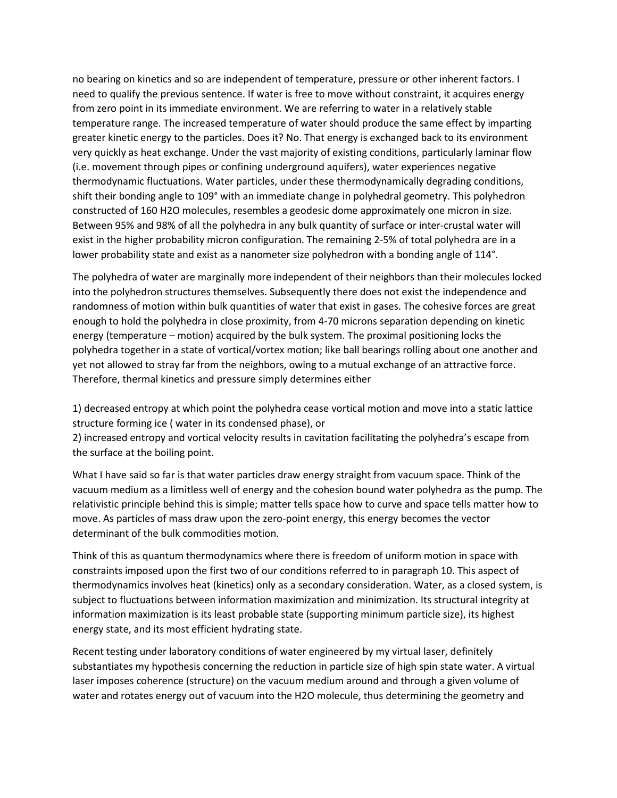no bearing on kinetics and so are independent of temperature, pressure or other inherent factors. I need to qualify the previous sentence. If water is free to move without constraint, it acquires energy from zero point in its immediate environment. We are referring to water in a relatively stable temperature range. The increased temperature of water should produce the same effect by imparting greater kinetic energy to the particles. Does it? No. That energy is exchanged back to its environment very quickly as heat exchange. Under the vast majority of existing conditions, particularly laminar flow (i.e. movement through pipes or confining underground aquifers), water experiences negative thermodynamic fluctuations. Water particles, under these thermodynamically degrading conditions, shift their bonding angle to 109° with an immediate change in polyhedral geometry. This polyhedron constructed of 160 H2O molecules, resembles a geodesic dome approximately one micron in size. Between 95% and 98% of all the polyhedra in any bulk quantity of surface or inter-crustal water will exist in the higher probability micron configuration. The remaining 2-5% of total polyhedra are in a lower probability state and exist as a nanometer size polyhedron with a bonding angle of 114°.

The polyhedra of water are marginally more independent of their neighbors than their molecules locked into the polyhedron structures themselves. Subsequently there does not exist the independence and randomness of motion within bulk quantities of water that exist in gases. The cohesive forces are great enough to hold the polyhedra in close proximity, from 4-70 microns separation depending on kinetic energy (temperature – motion) acquired by the bulk system. The proximal positioning locks the polyhedra together in a state of vortical/vortex motion; like ball bearings rolling about one another and yet not allowed to stray far from the neighbors, owing to a mutual exchange of an attractive force. Therefore, thermal kinetics and pressure simply determines either

1) decreased entropy at which point the polyhedra cease vortical motion and move into a static lattice structure forming ice ( water in its condensed phase), or

2) increased entropy and vortical velocity results in cavitation facilitating the polyhedra's escape from the surface at the boiling point.

What I have said so far is that water particles draw energy straight from vacuum space. Think of the vacuum medium as a limitless well of energy and the cohesion bound water polyhedra as the pump. The relativistic principle behind this is simple; matter tells space how to curve and space tells matter how to move. As particles of mass draw upon the zero-point energy, this energy becomes the vector determinant of the bulk commodities motion.

Think of this as quantum thermodynamics where there is freedom of uniform motion in space with constraints imposed upon the first two of our conditions referred to in paragraph 10. This aspect of thermodynamics involves heat (kinetics) only as a secondary consideration. Water, as a closed system, is subject to fluctuations between information maximization and minimization. Its structural integrity at information maximization is its least probable state (supporting minimum particle size), its highest energy state, and its most efficient hydrating state.

Recent testing under laboratory conditions of water engineered by my virtual laser, definitely substantiates my hypothesis concerning the reduction in particle size of high spin state water. A virtual laser imposes coherence (structure) on the vacuum medium around and through a given volume of water and rotates energy out of vacuum into the H2O molecule, thus determining the geometry and